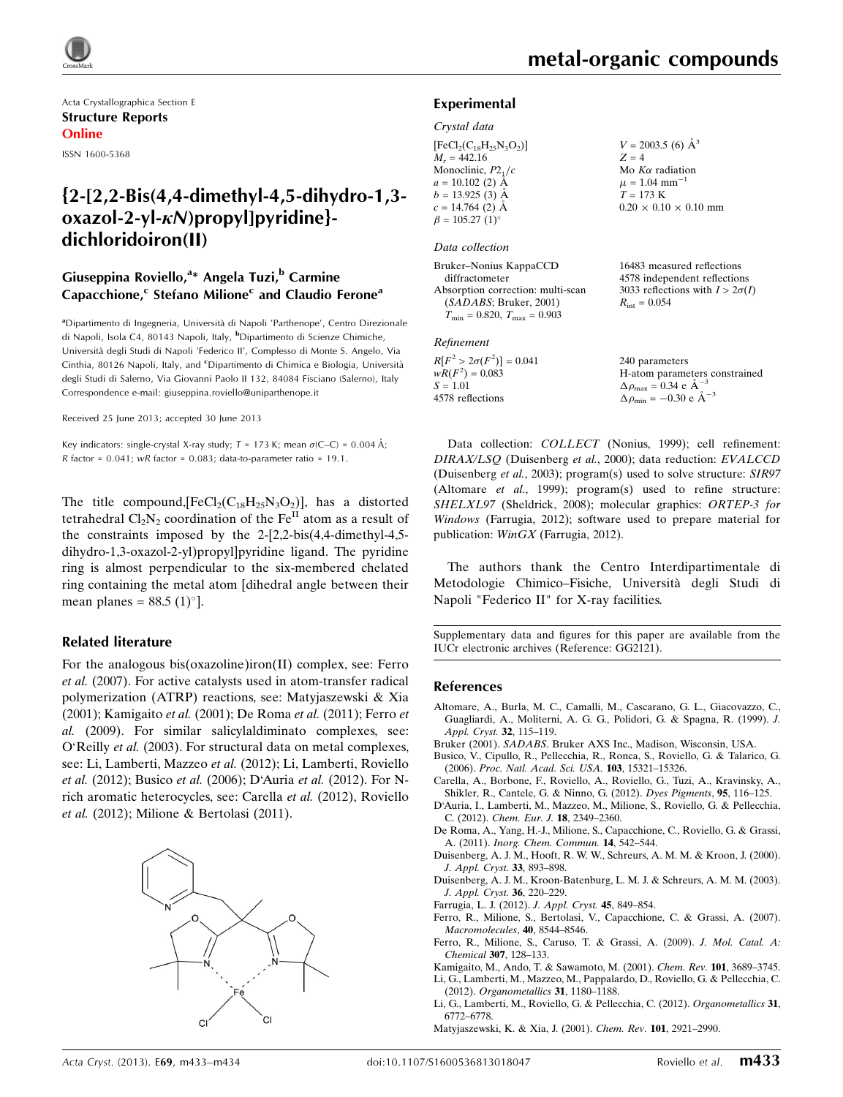

Acta Crystallographica Section E Structure Reports Online

ISSN 1600-5368

## {2-[2,2-Bis(4,4-dimethyl-4,5-dihydro-1,3  $oxazol-2-yl-\kappa N$ )propyl]pyridine}dichloridoiron(II)

## Giuseppina Roviello,<sup>a</sup>\* Angela Tuzi,<sup>b</sup> Carmine Capacchione,<sup>c</sup> Stefano Milione<sup>c</sup> and Claudio Ferone<sup>a</sup>

<sup>a</sup>Dipartimento di Ingegneria, Università di Napoli 'Parthenope', Centro Direzionale di Napoli, Isola C4, 80143 Napoli, Italy, <sup>b</sup>Dipartimento di Scienze Chimiche, Universita` degli Studi di Napoli 'Federico II', Complesso di Monte S. Angelo, Via Cinthia, 80126 Napoli, Italy, and <sup>c</sup>Dipartimento di Chimica e Biologia, Università degli Studi di Salerno, Via Giovanni Paolo II 132, 84084 Fisciano (Salerno), Italy Correspondence e-mail: [giuseppina.roviello@uniparthenope.it](https://scripts.iucr.org/cgi-bin/cr.cgi?rm=pdfbb&cnor=gg2121&bbid=BB20)

Received 25 June 2013; accepted 30 June 2013

Key indicators: single-crystal X-ray study;  $T = 173$  K; mean  $\sigma$ (C–C) = 0.004 Å; R factor =  $0.041$ ; wR factor =  $0.083$ ; data-to-parameter ratio = 19.1.

The title compound,  $[FeCl_2(C_{18}H_{25}N_3O_2)]$ , has a distorted tetrahedral  $Cl_2N_2$  coordination of the Fe<sup>II</sup> atom as a result of the constraints imposed by the 2-[2,2-bis(4,4-dimethyl-4,5 dihydro-1,3-oxazol-2-yl)propyl]pyridine ligand. The pyridine ring is almost perpendicular to the six-membered chelated ring containing the metal atom [dihedral angle between their mean planes =  $88.5 \,(1)^\circ$ ].

#### Related literature

For the analogous bis(oxazoline)iron(II) complex, see: Ferro et al. (2007). For active catalysts used in atom-transfer radical polymerization (ATRP) reactions, see: Matyjaszewski & Xia (2001); Kamigaito et al. (2001); De Roma et al. (2011); Ferro et al. (2009). For similar salicylaldiminato complexes, see: O'Reilly et al. (2003). For structural data on metal complexes, see: Li, Lamberti, Mazzeo et al. (2012); Li, Lamberti, Roviello et al. (2012); Busico et al. (2006); D'Auria et al. (2012). For Nrich aromatic heterocycles, see: Carella et al. (2012), Roviello et al. (2012); Milione & Bertolasi (2011).



#### Experimental

#### Crystal data

| $[FeCl2(C18H25N3O2)]$             |
|-----------------------------------|
| $M_r = 442.16$                    |
| Monoclinic, $P2_1/c$              |
| $a = 10.102$ (2) Å                |
| $b = 13.925(3)$ Å                 |
| $c = 14.764$ (2) Å                |
| $\beta = 105.27$ (1) <sup>o</sup> |

#### Data collection

Bruker–Nonius KappaCCD diffractometer Absorption correction: multi-scan (SADABS; Bruker, 2001)  $T_{\text{min}} = 0.820, T_{\text{max}} = 0.903$ 

#### Refinement

 $R[F^2 > 2\sigma(F^2)] = 0.041$  $wR(F^2) = 0.083$  $S = 1.01$ 4578 reflections

 $V = 2003.5$  (6)  $\AA^3$  $Z = 4$ Mo  $K\alpha$  radiation  $\mu = 1.04$  mm<sup>-1</sup>  $T = 173 K$  $0.20 \times 0.10 \times 0.10$  mm

16483 measured reflections 4578 independent reflections 3033 reflections with  $I > 2\sigma(I)$  $R_{\text{int}} = 0.054$ 

240 parameters H-atom parameters constrained  $\Delta \rho_{\text{max}} = 0.34 \text{ e A}^{-3}$  $\Delta \rho_{\rm min} = -0.30 \text{ e A}^{-3}$ 

Data collection: COLLECT (Nonius, 1999); cell refinement: DIRAX/LSQ (Duisenberg et al., 2000); data reduction: EVALCCD (Duisenberg et al., 2003); program(s) used to solve structure: SIR97 (Altomare et al., 1999); program(s) used to refine structure: SHELXL97 (Sheldrick, 2008); molecular graphics: ORTEP-3 for Windows (Farrugia, 2012); software used to prepare material for publication: WinGX (Farrugia, 2012).

The authors thank the Centro Interdipartimentale di Metodologie Chimico–Fisiche, Universita` degli Studi di Napoli "Federico II" for X-ray facilities.

Supplementary data and figures for this paper are available from the IUCr electronic archives (Reference: GG2121).

#### References

- [Altomare, A., Burla, M. C., Camalli, M., Cascarano, G. L., Giacovazzo, C.,](https://scripts.iucr.org/cgi-bin/cr.cgi?rm=pdfbb&cnor=gg2121&bbid=BB1) [Guagliardi, A., Moliterni, A. G. G., Polidori, G. & Spagna, R. \(1999\).](https://scripts.iucr.org/cgi-bin/cr.cgi?rm=pdfbb&cnor=gg2121&bbid=BB1) J. [Appl. Cryst.](https://scripts.iucr.org/cgi-bin/cr.cgi?rm=pdfbb&cnor=gg2121&bbid=BB1) 32, 115–119.
- Bruker (2001). SADABS[. Bruker AXS Inc., Madison, Wisconsin, USA.](https://scripts.iucr.org/cgi-bin/cr.cgi?rm=pdfbb&cnor=gg2121&bbid=BB2)
- [Busico, V., Cipullo, R., Pellecchia, R., Ronca, S., Roviello, G. & Talarico, G.](https://scripts.iucr.org/cgi-bin/cr.cgi?rm=pdfbb&cnor=gg2121&bbid=BB3) (2006). [Proc. Natl. Acad. Sci. USA.](https://scripts.iucr.org/cgi-bin/cr.cgi?rm=pdfbb&cnor=gg2121&bbid=BB3) 103, 15321–15326.
- [Carella, A., Borbone, F., Roviello, A., Roviello, G., Tuzi, A., Kravinsky, A.,](https://scripts.iucr.org/cgi-bin/cr.cgi?rm=pdfbb&cnor=gg2121&bbid=BB4) [Shikler, R., Cantele, G. & Ninno, G. \(2012\).](https://scripts.iucr.org/cgi-bin/cr.cgi?rm=pdfbb&cnor=gg2121&bbid=BB4) Dyes Pigments, 95, 116–125.
- [D'Auria, I., Lamberti, M., Mazzeo, M., Milione, S., Roviello, G. & Pellecchia,](https://scripts.iucr.org/cgi-bin/cr.cgi?rm=pdfbb&cnor=gg2121&bbid=BB5) C. (2012). [Chem. Eur. J.](https://scripts.iucr.org/cgi-bin/cr.cgi?rm=pdfbb&cnor=gg2121&bbid=BB5) 18, 2349–2360.
- [De Roma, A., Yang, H.-J., Milione, S., Capacchione, C., Roviello, G. & Grassi,](https://scripts.iucr.org/cgi-bin/cr.cgi?rm=pdfbb&cnor=gg2121&bbid=BB6) A. (2011). [Inorg. Chem. Commun.](https://scripts.iucr.org/cgi-bin/cr.cgi?rm=pdfbb&cnor=gg2121&bbid=BB6) 14, 542–544.
- [Duisenberg, A. J. M., Hooft, R. W. W., Schreurs, A. M. M. & Kroon, J. \(2000\).](https://scripts.iucr.org/cgi-bin/cr.cgi?rm=pdfbb&cnor=gg2121&bbid=BB7) [J. Appl. Cryst.](https://scripts.iucr.org/cgi-bin/cr.cgi?rm=pdfbb&cnor=gg2121&bbid=BB7) 33, 893–898.
- [Duisenberg, A. J. M., Kroon-Batenburg, L. M. J. & Schreurs, A. M. M. \(2003\).](https://scripts.iucr.org/cgi-bin/cr.cgi?rm=pdfbb&cnor=gg2121&bbid=BB8) [J. Appl. Cryst.](https://scripts.iucr.org/cgi-bin/cr.cgi?rm=pdfbb&cnor=gg2121&bbid=BB8) 36, 220–229.
- [Farrugia, L. J. \(2012\).](https://scripts.iucr.org/cgi-bin/cr.cgi?rm=pdfbb&cnor=gg2121&bbid=BB9) J. Appl. Cryst. 45, 849–854.
- [Ferro, R., Milione, S., Bertolasi, V., Capacchione, C. & Grassi, A. \(2007\).](https://scripts.iucr.org/cgi-bin/cr.cgi?rm=pdfbb&cnor=gg2121&bbid=BB10) [Macromolecules](https://scripts.iucr.org/cgi-bin/cr.cgi?rm=pdfbb&cnor=gg2121&bbid=BB10), 40, 8544–8546.
- [Ferro, R., Milione, S., Caruso, T. & Grassi, A. \(2009\).](https://scripts.iucr.org/cgi-bin/cr.cgi?rm=pdfbb&cnor=gg2121&bbid=BB11) J. Mol. Catal. A: Chemical 307[, 128–133.](https://scripts.iucr.org/cgi-bin/cr.cgi?rm=pdfbb&cnor=gg2121&bbid=BB11)
- [Kamigaito, M., Ando, T. & Sawamoto, M. \(2001\).](https://scripts.iucr.org/cgi-bin/cr.cgi?rm=pdfbb&cnor=gg2121&bbid=BB12) Chem. Rev. 101, 3689–3745. [Li, G., Lamberti, M., Mazzeo, M., Pappalardo, D., Roviello, G. & Pellecchia, C.](https://scripts.iucr.org/cgi-bin/cr.cgi?rm=pdfbb&cnor=gg2121&bbid=BB13)
- (2012). [Organometallics](https://scripts.iucr.org/cgi-bin/cr.cgi?rm=pdfbb&cnor=gg2121&bbid=BB13) 31, 1180–1188. [Li, G., Lamberti, M., Roviello, G. & Pellecchia, C. \(2012\).](https://scripts.iucr.org/cgi-bin/cr.cgi?rm=pdfbb&cnor=gg2121&bbid=BB14) Organometallics 31,
- [6772–6778.](https://scripts.iucr.org/cgi-bin/cr.cgi?rm=pdfbb&cnor=gg2121&bbid=BB14) [Matyjaszewski, K. & Xia, J. \(2001\).](https://scripts.iucr.org/cgi-bin/cr.cgi?rm=pdfbb&cnor=gg2121&bbid=BB15) Chem. Rev. 101, 2921–2990.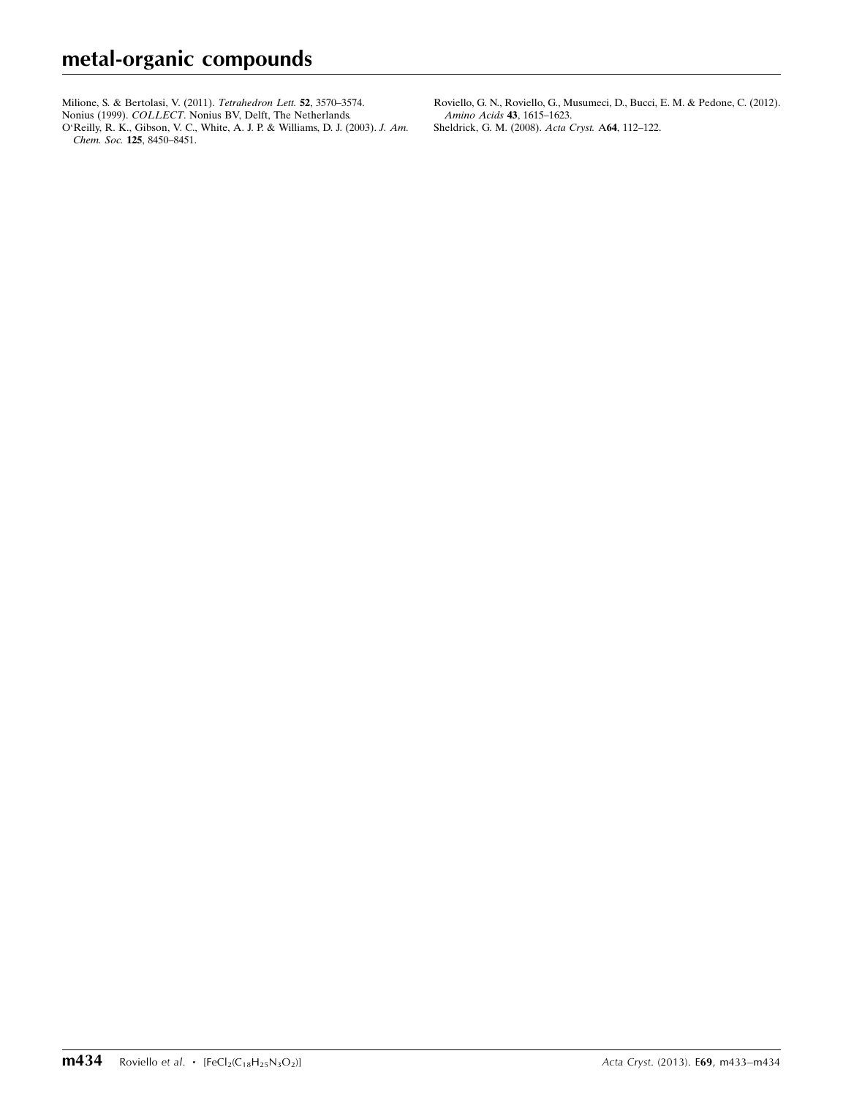[Milione, S. & Bertolasi, V. \(2011\).](https://scripts.iucr.org/cgi-bin/cr.cgi?rm=pdfbb&cnor=gg2121&bbid=BB16) *Tetrahedron Lett*. **52**, 3570–3574.

Nonius (1999). COLLECT[. Nonius BV, Delft, The Netherlands.](https://scripts.iucr.org/cgi-bin/cr.cgi?rm=pdfbb&cnor=gg2121&bbid=BB17)

[O'Reilly, R. K., Gibson, V. C., White, A. J. P. & Williams, D. J. \(2003\).](https://scripts.iucr.org/cgi-bin/cr.cgi?rm=pdfbb&cnor=gg2121&bbid=BB18) J. Am. Chem. Soc. 125[, 8450–8451.](https://scripts.iucr.org/cgi-bin/cr.cgi?rm=pdfbb&cnor=gg2121&bbid=BB18)

[Roviello, G. N., Roviello, G., Musumeci, D., Bucci, E. M. & Pedone, C. \(2012\).](https://scripts.iucr.org/cgi-bin/cr.cgi?rm=pdfbb&cnor=gg2121&bbid=BB19) [Amino Acids](https://scripts.iucr.org/cgi-bin/cr.cgi?rm=pdfbb&cnor=gg2121&bbid=BB19) 43, 1615–1623. [Sheldrick, G. M. \(2008\).](https://scripts.iucr.org/cgi-bin/cr.cgi?rm=pdfbb&cnor=gg2121&bbid=BB20) Acta Cryst. A64, 112–122.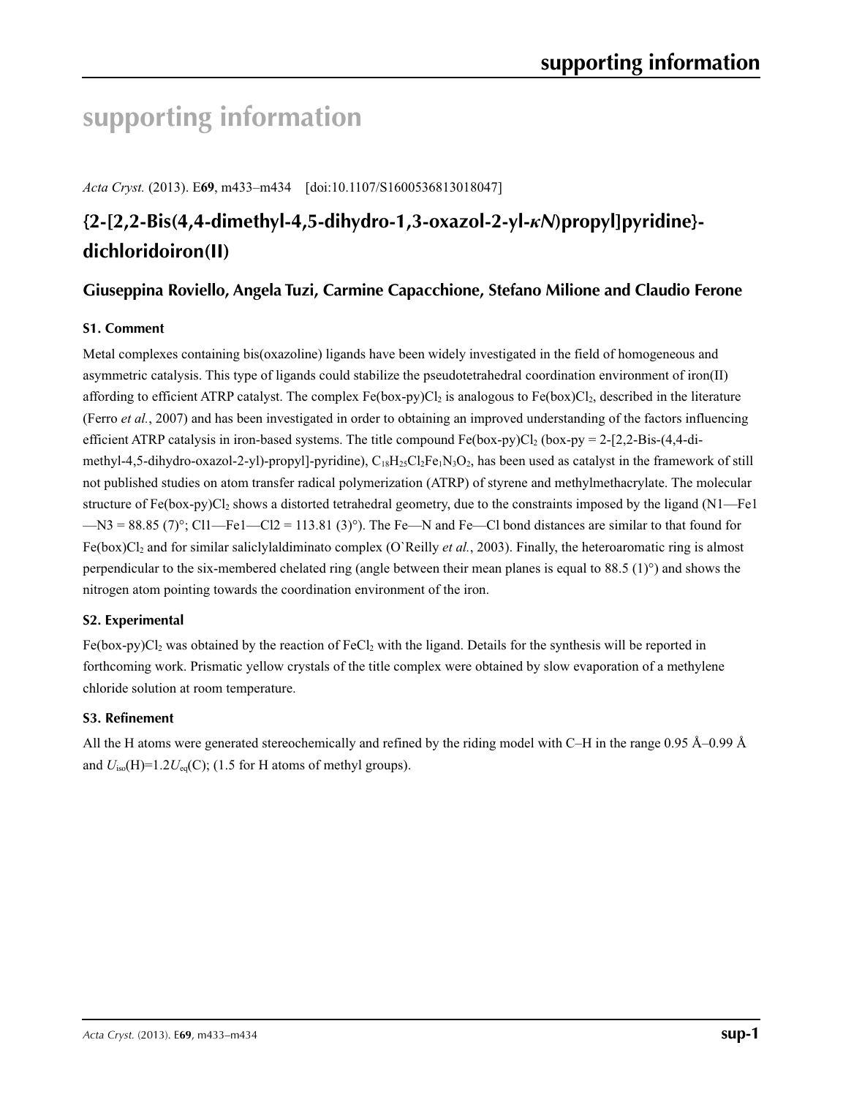## **supporting information**

*Acta Cryst.* (2013). E**69**, m433–m434 [doi:10.1107/S1600536813018047]

## **{2-[2,2-Bis(4,4-dimethyl-4,5-dihydro-1,3-oxazol-2-yl-***κN***)propyl]pyridine} dichloridoiron(II)**

## **Giuseppina Roviello, Angela Tuzi, Carmine Capacchione, Stefano Milione and Claudio Ferone**

## **S1. Comment**

Metal complexes containing bis(oxazoline) ligands have been widely investigated in the field of homogeneous and asymmetric catalysis. This type of ligands could stabilize the pseudotetrahedral coordination environment of iron(II) affording to efficient ATRP catalyst. The complex  $Fe(box-py)Cl<sub>2</sub>$  is analogous to  $Fe(box)Cl<sub>2</sub>$ , described in the literature (Ferro *et al.*, 2007) and has been investigated in order to obtaining an improved understanding of the factors influencing efficient ATRP catalysis in iron-based systems. The title compound Fe(box-py)Cl<sub>2</sub> (box-py = 2-[2,2-Bis-(4,4-dimethyl-4,5-dihydro-oxazol-2-yl)-propyl]-pyridine),  $C_{18}H_{25}C_{2}Fe_1N_3O_2$ , has been used as catalyst in the framework of still not published studies on atom transfer radical polymerization (ATRP) of styrene and methylmethacrylate. The molecular structure of Fe(box-py)Cl<sub>2</sub> shows a distorted tetrahedral geometry, due to the constraints imposed by the ligand (N1—Fe1  $-M3 = 88.85$  (7)°; Cl1—Fe1—Cl2 = 113.81 (3)°). The Fe—N and Fe—Cl bond distances are similar to that found for Fe(box)Cl2 and for similar saliclylaldiminato complex (O`Reilly *et al.*, 2003). Finally, the heteroaromatic ring is almost perpendicular to the six-membered chelated ring (angle between their mean planes is equal to 88.5 (1)°) and shows the nitrogen atom pointing towards the coordination environment of the iron.

### **S2. Experimental**

 $Fe(box-py)Cl<sub>2</sub>$  was obtained by the reaction of  $FeCl<sub>2</sub>$  with the ligand. Details for the synthesis will be reported in forthcoming work. Prismatic yellow crystals of the title complex were obtained by slow evaporation of a methylene chloride solution at room temperature.

### **S3. Refinement**

All the H atoms were generated stereochemically and refined by the riding model with C–H in the range 0.95 Å–0.99 Å and  $U_{iso}(H)=1.2U_{eq}(C)$ ; (1.5 for H atoms of methyl groups).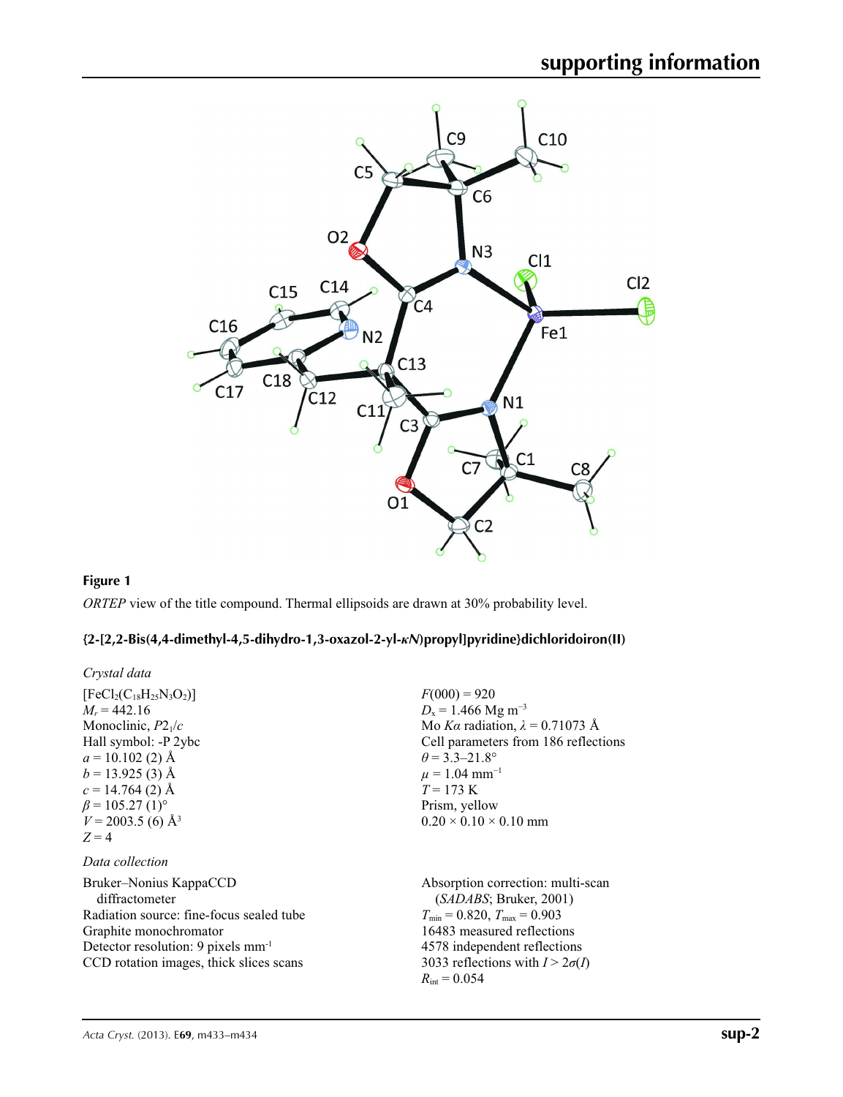

#### **Figure 1**

*ORTEP* view of the title compound. Thermal ellipsoids are drawn at 30% probability level.

## **{2-[2,2-Bis(4,4-dimethyl-4,5-dihydro-1,3-oxazol-2-yl-***κN***)propyl]pyridine}dichloridoiron(II)**

| Crystal data                                                                                                                                                                                                |                                                                                                                                                                                                                                           |
|-------------------------------------------------------------------------------------------------------------------------------------------------------------------------------------------------------------|-------------------------------------------------------------------------------------------------------------------------------------------------------------------------------------------------------------------------------------------|
| $[FeCl2(C18H25N3O2)]$<br>$M_r = 442.16$<br>Monoclinic, $P2_1/c$<br>Hall symbol: -P 2ybc<br>$a = 10.102$ (2) Å<br>$b = 13.925$ (3) Å                                                                         | $F(000) = 920$<br>$D_x = 1.466$ Mg m <sup>-3</sup><br>Mo Ka radiation, $\lambda = 0.71073$ Å<br>Cell parameters from 186 reflections<br>$\theta$ = 3.3–21.8°<br>$\mu = 1.04$ mm <sup>-1</sup><br>$T = 173 \text{ K}$                      |
| $c = 14.764(2)$ Å<br>$\beta$ = 105.27 (1) <sup>o</sup><br>$V = 2003.5$ (6) Å <sup>3</sup><br>$Z=4$<br>Data collection                                                                                       | Prism, yellow<br>$0.20 \times 0.10 \times 0.10$ mm                                                                                                                                                                                        |
| Bruker–Nonius KappaCCD<br>diffractometer<br>Radiation source: fine-focus sealed tube<br>Graphite monochromator<br>Detector resolution: 9 pixels mm <sup>-1</sup><br>CCD rotation images, thick slices scans | Absorption correction: multi-scan<br>(SADABS; Bruker, 2001)<br>$T_{\min}$ = 0.820, $T_{\max}$ = 0.903<br>16483 measured reflections<br>4578 independent reflections<br>3033 reflections with $I > 2\sigma(I)$<br>$R_{\text{int}} = 0.054$ |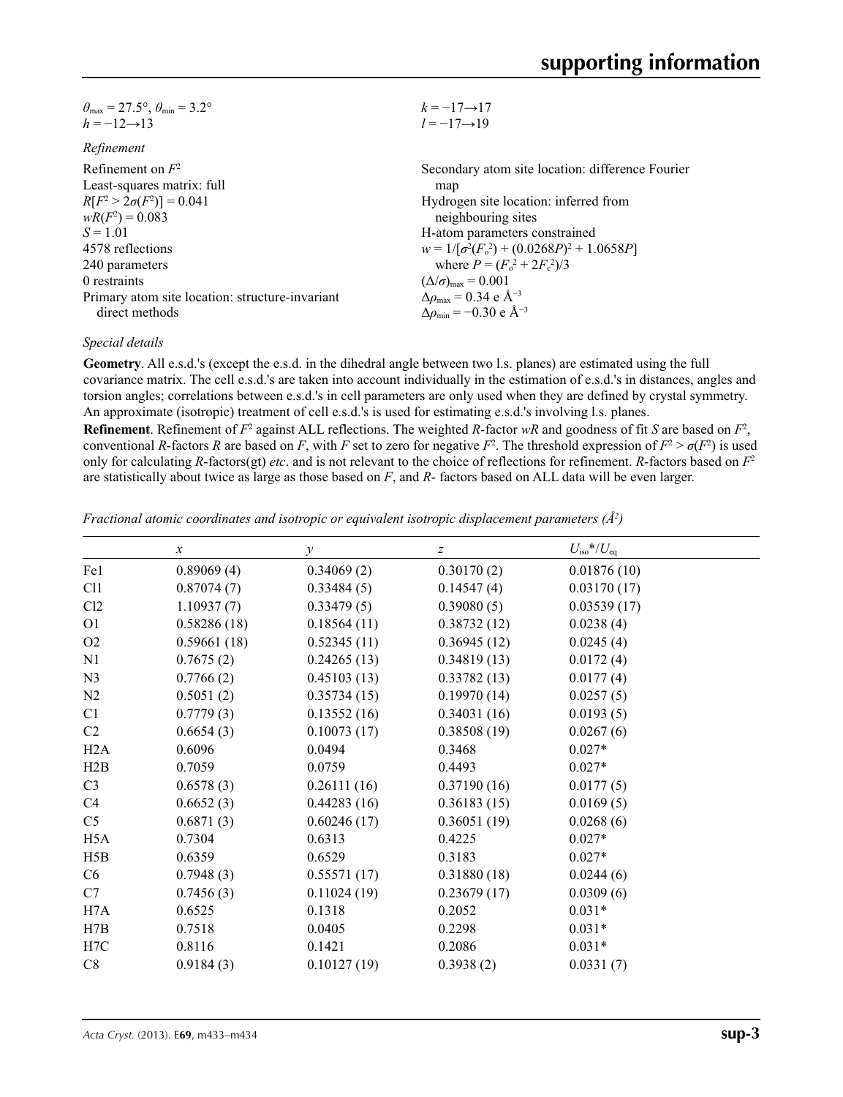| $\theta_{\text{max}} = 27.5^{\circ}, \theta_{\text{min}} = 3.2^{\circ}$ | $k = -17 \rightarrow 17$                           |
|-------------------------------------------------------------------------|----------------------------------------------------|
| $h = -12 \rightarrow 13$                                                | $l = -17 \rightarrow 19$                           |
| Refinement                                                              |                                                    |
| Refinement on $F^2$                                                     | Secondary atom site location: difference Fourier   |
| Least-squares matrix: full                                              | map                                                |
| $R[F^2 > 2\sigma(F^2)] = 0.041$                                         | Hydrogen site location: inferred from              |
| $wR(F^2) = 0.083$                                                       | neighbouring sites                                 |
| $S = 1.01$                                                              | H-atom parameters constrained                      |
| 4578 reflections                                                        | $w = 1/[\sigma^2(F_0^2) + (0.0268P)^2 + 1.0658P]$  |
| 240 parameters                                                          | where $P = (F_0^2 + 2F_c^2)/3$                     |
| 0 restraints                                                            | $(\Delta/\sigma)_{\text{max}} = 0.001$             |
| Primary atom site location: structure-invariant                         | $\Delta \rho_{\text{max}} = 0.34 \text{ e A}^{-3}$ |
| direct methods                                                          | $\Delta \rho_{\rm min} = -0.30 \text{ e A}^{-3}$   |

#### *Special details*

**Geometry**. All e.s.d.'s (except the e.s.d. in the dihedral angle between two l.s. planes) are estimated using the full covariance matrix. The cell e.s.d.'s are taken into account individually in the estimation of e.s.d.'s in distances, angles and torsion angles; correlations between e.s.d.'s in cell parameters are only used when they are defined by crystal symmetry. An approximate (isotropic) treatment of cell e.s.d.'s is used for estimating e.s.d.'s involving l.s. planes.

**Refinement**. Refinement of  $F^2$  against ALL reflections. The weighted *R*-factor  $wR$  and goodness of fit *S* are based on  $F^2$ , conventional *R*-factors *R* are based on *F*, with *F* set to zero for negative  $F^2$ . The threshold expression of  $F^2 > \sigma(F^2)$  is used only for calculating *R*-factors(gt) *etc*. and is not relevant to the choice of reflections for refinement. *R*-factors based on *F*<sup>2</sup> are statistically about twice as large as those based on *F*, and *R*- factors based on ALL data will be even larger.

*Fractional atomic coordinates and isotropic or equivalent isotropic displacement parameters (Å2 )*

|                  | $\mathcal{X}$ | $\mathcal{V}$ | z           | $U_{\rm iso}*/U_{\rm eq}$ |  |
|------------------|---------------|---------------|-------------|---------------------------|--|
| Fe1              | 0.89069(4)    | 0.34069(2)    | 0.30170(2)  | 0.01876(10)               |  |
| C <sub>11</sub>  | 0.87074(7)    | 0.33484(5)    | 0.14547(4)  | 0.03170(17)               |  |
| Cl2              | 1.10937(7)    | 0.33479(5)    | 0.39080(5)  | 0.03539(17)               |  |
| O <sub>1</sub>   | 0.58286(18)   | 0.18564(11)   | 0.38732(12) | 0.0238(4)                 |  |
| O2               | 0.59661(18)   | 0.52345(11)   | 0.36945(12) | 0.0245(4)                 |  |
| N1               | 0.7675(2)     | 0.24265(13)   | 0.34819(13) | 0.0172(4)                 |  |
| N <sub>3</sub>   | 0.7766(2)     | 0.45103(13)   | 0.33782(13) | 0.0177(4)                 |  |
| N2               | 0.5051(2)     | 0.35734(15)   | 0.19970(14) | 0.0257(5)                 |  |
| C1               | 0.7779(3)     | 0.13552(16)   | 0.34031(16) | 0.0193(5)                 |  |
| C <sub>2</sub>   | 0.6654(3)     | 0.10073(17)   | 0.38508(19) | 0.0267(6)                 |  |
| H2A              | 0.6096        | 0.0494        | 0.3468      | $0.027*$                  |  |
| H2B              | 0.7059        | 0.0759        | 0.4493      | $0.027*$                  |  |
| C <sub>3</sub>   | 0.6578(3)     | 0.26111(16)   | 0.37190(16) | 0.0177(5)                 |  |
| C4               | 0.6652(3)     | 0.44283(16)   | 0.36183(15) | 0.0169(5)                 |  |
| C <sub>5</sub>   | 0.6871(3)     | 0.60246(17)   | 0.36051(19) | 0.0268(6)                 |  |
| H <sub>5</sub> A | 0.7304        | 0.6313        | 0.4225      | $0.027*$                  |  |
| H5B              | 0.6359        | 0.6529        | 0.3183      | $0.027*$                  |  |
| C6               | 0.7948(3)     | 0.55571(17)   | 0.31880(18) | 0.0244(6)                 |  |
| C7               | 0.7456(3)     | 0.11024(19)   | 0.23679(17) | 0.0309(6)                 |  |
| H7A              | 0.6525        | 0.1318        | 0.2052      | $0.031*$                  |  |
| H7B              | 0.7518        | 0.0405        | 0.2298      | $0.031*$                  |  |
| H7C              | 0.8116        | 0.1421        | 0.2086      | $0.031*$                  |  |
| C8               | 0.9184(3)     | 0.10127(19)   | 0.3938(2)   | 0.0331(7)                 |  |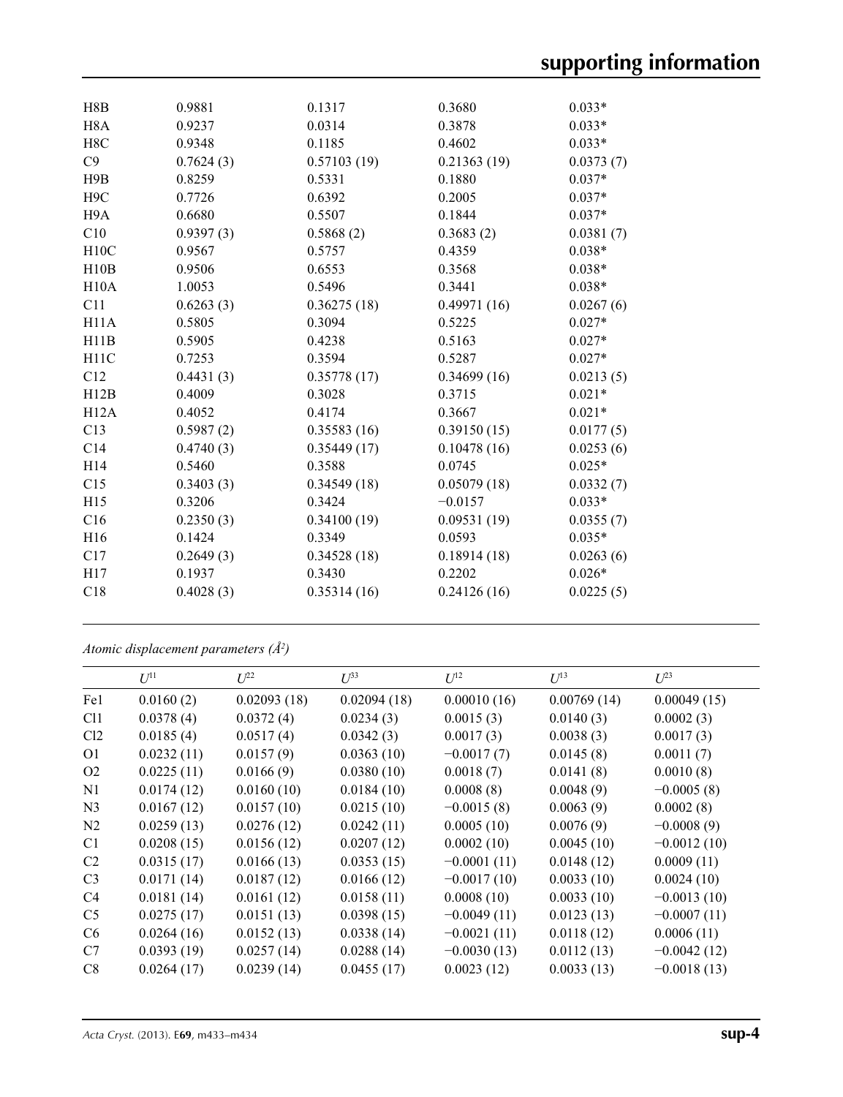| H8B               | 0.9881    | 0.1317      | 0.3680      | $0.033*$  |
|-------------------|-----------|-------------|-------------|-----------|
| H <sub>8</sub> A  | 0.9237    | 0.0314      | 0.3878      | $0.033*$  |
| H8C               | 0.9348    | 0.1185      | 0.4602      | $0.033*$  |
| C9                | 0.7624(3) | 0.57103(19) | 0.21363(19) | 0.0373(7) |
| H9B               | 0.8259    | 0.5331      | 0.1880      | $0.037*$  |
| H <sub>9</sub> C  | 0.7726    | 0.6392      | 0.2005      | $0.037*$  |
| H <sub>9</sub> A  | 0.6680    | 0.5507      | 0.1844      | $0.037*$  |
| C10               | 0.9397(3) | 0.5868(2)   | 0.3683(2)   | 0.0381(7) |
| H10C              | 0.9567    | 0.5757      | 0.4359      | $0.038*$  |
| H10B              | 0.9506    | 0.6553      | 0.3568      | $0.038*$  |
| H10A              | 1.0053    | 0.5496      | 0.3441      | $0.038*$  |
| C11               | 0.6263(3) | 0.36275(18) | 0.49971(16) | 0.0267(6) |
| H11A              | 0.5805    | 0.3094      | 0.5225      | $0.027*$  |
| H11B              | 0.5905    | 0.4238      | 0.5163      | $0.027*$  |
| H <sub>11</sub> C | 0.7253    | 0.3594      | 0.5287      | $0.027*$  |
| C12               | 0.4431(3) | 0.35778(17) | 0.34699(16) | 0.0213(5) |
| H12B              | 0.4009    | 0.3028      | 0.3715      | $0.021*$  |
| H12A              | 0.4052    | 0.4174      | 0.3667      | $0.021*$  |
| C13               | 0.5987(2) | 0.35583(16) | 0.39150(15) | 0.0177(5) |
| C14               | 0.4740(3) | 0.35449(17) | 0.10478(16) | 0.0253(6) |
| H <sub>14</sub>   | 0.5460    | 0.3588      | 0.0745      | $0.025*$  |
| C15               | 0.3403(3) | 0.34549(18) | 0.05079(18) | 0.0332(7) |
| H15               | 0.3206    | 0.3424      | $-0.0157$   | $0.033*$  |
| C16               | 0.2350(3) | 0.34100(19) | 0.09531(19) | 0.0355(7) |
| H16               | 0.1424    | 0.3349      | 0.0593      | $0.035*$  |
| C17               | 0.2649(3) | 0.34528(18) | 0.18914(18) | 0.0263(6) |
| H17               | 0.1937    | 0.3430      | 0.2202      | $0.026*$  |
| C18               | 0.4028(3) | 0.35314(16) | 0.24126(16) | 0.0225(5) |
|                   |           |             |             |           |

*Atomic displacement parameters (Å2 )*

|                 | $U^{11}$   | $U^{22}$    | $U^{33}$    | $U^{12}$      | $U^{13}$    | $U^{23}$      |
|-----------------|------------|-------------|-------------|---------------|-------------|---------------|
| Fe1             | 0.0160(2)  | 0.02093(18) | 0.02094(18) | 0.00010(16)   | 0.00769(14) | 0.00049(15)   |
| C <sub>11</sub> | 0.0378(4)  | 0.0372(4)   | 0.0234(3)   | 0.0015(3)     | 0.0140(3)   | 0.0002(3)     |
| Cl2             | 0.0185(4)  | 0.0517(4)   | 0.0342(3)   | 0.0017(3)     | 0.0038(3)   | 0.0017(3)     |
| O <sub>1</sub>  | 0.0232(11) | 0.0157(9)   | 0.0363(10)  | $-0.0017(7)$  | 0.0145(8)   | 0.0011(7)     |
| O2              | 0.0225(11) | 0.0166(9)   | 0.0380(10)  | 0.0018(7)     | 0.0141(8)   | 0.0010(8)     |
| N1              | 0.0174(12) | 0.0160(10)  | 0.0184(10)  | 0.0008(8)     | 0.0048(9)   | $-0.0005(8)$  |
| N <sub>3</sub>  | 0.0167(12) | 0.0157(10)  | 0.0215(10)  | $-0.0015(8)$  | 0.0063(9)   | 0.0002(8)     |
| N2              | 0.0259(13) | 0.0276(12)  | 0.0242(11)  | 0.0005(10)    | 0.0076(9)   | $-0.0008(9)$  |
| C <sub>1</sub>  | 0.0208(15) | 0.0156(12)  | 0.0207(12)  | 0.0002(10)    | 0.0045(10)  | $-0.0012(10)$ |
| C <sub>2</sub>  | 0.0315(17) | 0.0166(13)  | 0.0353(15)  | $-0.0001(11)$ | 0.0148(12)  | 0.0009(11)    |
| C <sub>3</sub>  | 0.0171(14) | 0.0187(12)  | 0.0166(12)  | $-0.0017(10)$ | 0.0033(10)  | 0.0024(10)    |
| C4              | 0.0181(14) | 0.0161(12)  | 0.0158(11)  | 0.0008(10)    | 0.0033(10)  | $-0.0013(10)$ |
| C <sub>5</sub>  | 0.0275(17) | 0.0151(13)  | 0.0398(15)  | $-0.0049(11)$ | 0.0123(13)  | $-0.0007(11)$ |
| C <sub>6</sub>  | 0.0264(16) | 0.0152(13)  | 0.0338(14)  | $-0.0021(11)$ | 0.0118(12)  | 0.0006(11)    |
| C7              | 0.0393(19) | 0.0257(14)  | 0.0288(14)  | $-0.0030(13)$ | 0.0112(13)  | $-0.0042(12)$ |
| C8              | 0.0264(17) | 0.0239(14)  | 0.0455(17)  | 0.0023(12)    | 0.0033(13)  | $-0.0018(13)$ |
|                 |            |             |             |               |             |               |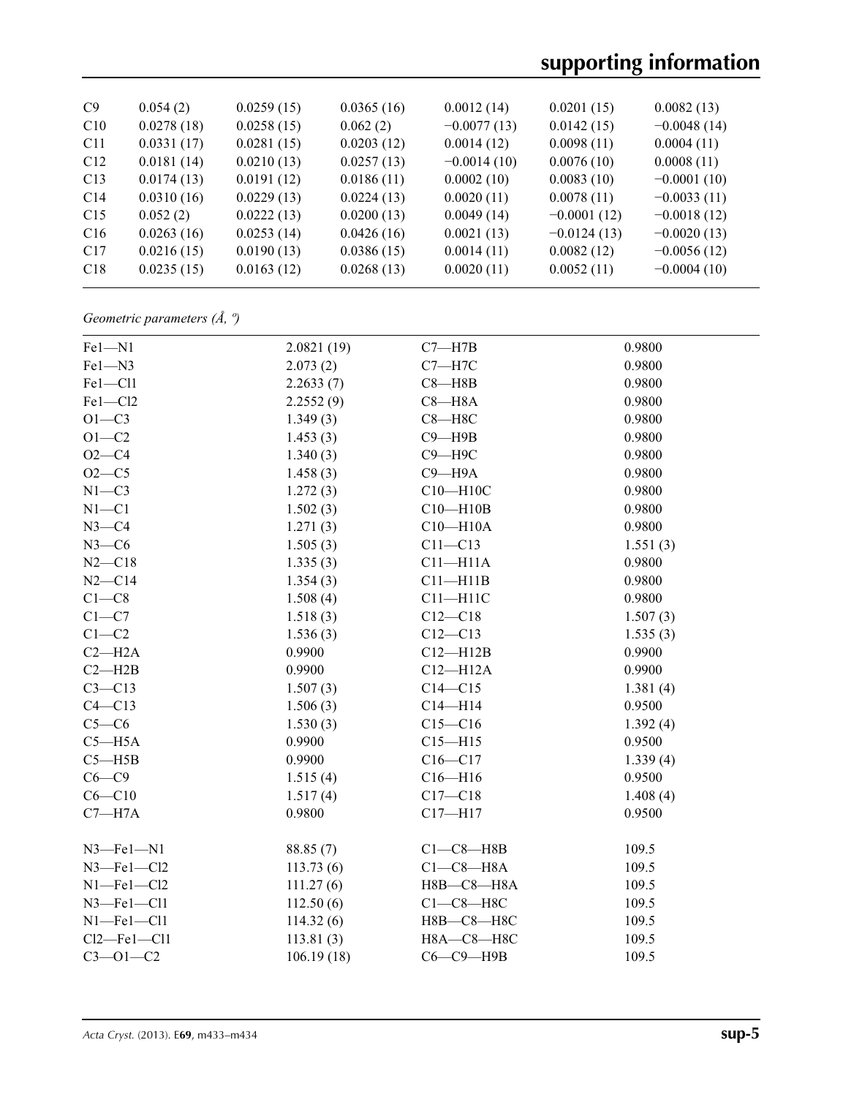# **supporting information**

| C9              | 0.054(2)   | 0.0259(15) | 0.0365(16) | 0.0012(14)    | 0.0201(15)    | 0.0082(13)    |
|-----------------|------------|------------|------------|---------------|---------------|---------------|
| C10             | 0.0278(18) | 0.0258(15) | 0.062(2)   | $-0.0077(13)$ | 0.0142(15)    | $-0.0048(14)$ |
| C <sub>11</sub> | 0.0331(17) | 0.0281(15) | 0.0203(12) | 0.0014(12)    | 0.0098(11)    | 0.0004(11)    |
| C <sub>12</sub> | 0.0181(14) | 0.0210(13) | 0.0257(13) | $-0.0014(10)$ | 0.0076(10)    | 0.0008(11)    |
| C13             | 0.0174(13) | 0.0191(12) | 0.0186(11) | 0.0002(10)    | 0.0083(10)    | $-0.0001(10)$ |
| C14             | 0.0310(16) | 0.0229(13) | 0.0224(13) | 0.0020(11)    | 0.0078(11)    | $-0.0033(11)$ |
| C15             | 0.052(2)   | 0.0222(13) | 0.0200(13) | 0.0049(14)    | $-0.0001(12)$ | $-0.0018(12)$ |
| C16             | 0.0263(16) | 0.0253(14) | 0.0426(16) | 0.0021(13)    | $-0.0124(13)$ | $-0.0020(13)$ |
| C17             | 0.0216(15) | 0.0190(13) | 0.0386(15) | 0.0014(11)    | 0.0082(12)    | $-0.0056(12)$ |
| C <sub>18</sub> | 0.0235(15) | 0.0163(12) | 0.0268(13) | 0.0020(11)    | 0.0052(11)    | $-0.0004(10)$ |
|                 |            |            |            |               |               |               |

## *Geometric parameters (Å, º)*

| Fel-N1            | 2.0821(19) | $C7 - H7B$    | 0.9800   |
|-------------------|------------|---------------|----------|
| Fel-N3            | 2.073(2)   | $C7 - H7C$    | 0.9800   |
| Fel-Cl1           | 2.2633(7)  | $C8 - H8B$    | 0.9800   |
| Fe1-Cl2           | 2.2552(9)  | $C8 - H8A$    | 0.9800   |
| $O1-C3$           | 1.349(3)   | $C8 - H8C$    | 0.9800   |
| $O1 - C2$         | 1.453(3)   | $C9 - H9B$    | 0.9800   |
| $O2 - C4$         | 1.340(3)   | $C9 - H9C$    | 0.9800   |
| $O2-C5$           | 1.458(3)   | $C9 - H9A$    | 0.9800   |
| $N1 - C3$         | 1.272(3)   | C10-H10C      | 0.9800   |
| $N1 - C1$         | 1.502(3)   | $C10 - H10B$  | 0.9800   |
| $N3-C4$           | 1.271(3)   | $C10 - H10A$  | 0.9800   |
| $N3-C6$           | 1.505(3)   | $C11 - C13$   | 1.551(3) |
| $N2 - C18$        | 1.335(3)   | $C11 - H11A$  | 0.9800   |
| $N2 - C14$        | 1.354(3)   | $C11 - H11B$  | 0.9800   |
| $C1-C8$           | 1.508(4)   | $C11 - H11C$  | 0.9800   |
| $C1-C7$           | 1.518(3)   | $C12 - C18$   | 1.507(3) |
| $C1-C2$           | 1.536(3)   | $C12 - C13$   | 1.535(3) |
| $C2 - H2A$        | 0.9900     | $C12 - H12B$  | 0.9900   |
| $C2 - H2B$        | 0.9900     | $C12 - H12A$  | 0.9900   |
| $C3 - C13$        | 1.507(3)   | $C14 - C15$   | 1.381(4) |
| $C4 - C13$        | 1.506(3)   | $C14 - H14$   | 0.9500   |
| $C5-C6$           | 1.530(3)   | $C15 - C16$   | 1.392(4) |
| $C5 - H5A$        | 0.9900     | $C15 - H15$   | 0.9500   |
| $C5 - H5B$        | 0.9900     | $C16 - C17$   | 1.339(4) |
| $C6-C9$           | 1.515(4)   | $C16 - H16$   | 0.9500   |
| $C6 - C10$        | 1.517(4)   | $C17 - C18$   | 1.408(4) |
| $C7 - H7A$        | 0.9800     | $C17 - H17$   | 0.9500   |
|                   |            |               |          |
| $N3$ -Fel-N1      | 88.85 (7)  | $C1-C8 - H8B$ | 109.5    |
| $N3$ -Fel-Cl2     | 113.73(6)  | $C1-C8 - H8A$ | 109.5    |
| $N1$ -Fel-Cl2     | 111.27(6)  | $H8B-C8-H8A$  | 109.5    |
| $N3$ -Fel-Cll     | 112.50(6)  | $C1-C8-H8C$   | 109.5    |
| $N1$ -Fe $1$ -Cl1 | 114.32(6)  | Н8В-С8-Н8С    | 109.5    |
| $Cl2$ -Fel-Cl1    | 113.81(3)  | Н8А-С8-Н8С    | 109.5    |
| $C3 - 01 - C2$    | 106.19(18) | $C6-C9$ —H9B  | 109.5    |
|                   |            |               |          |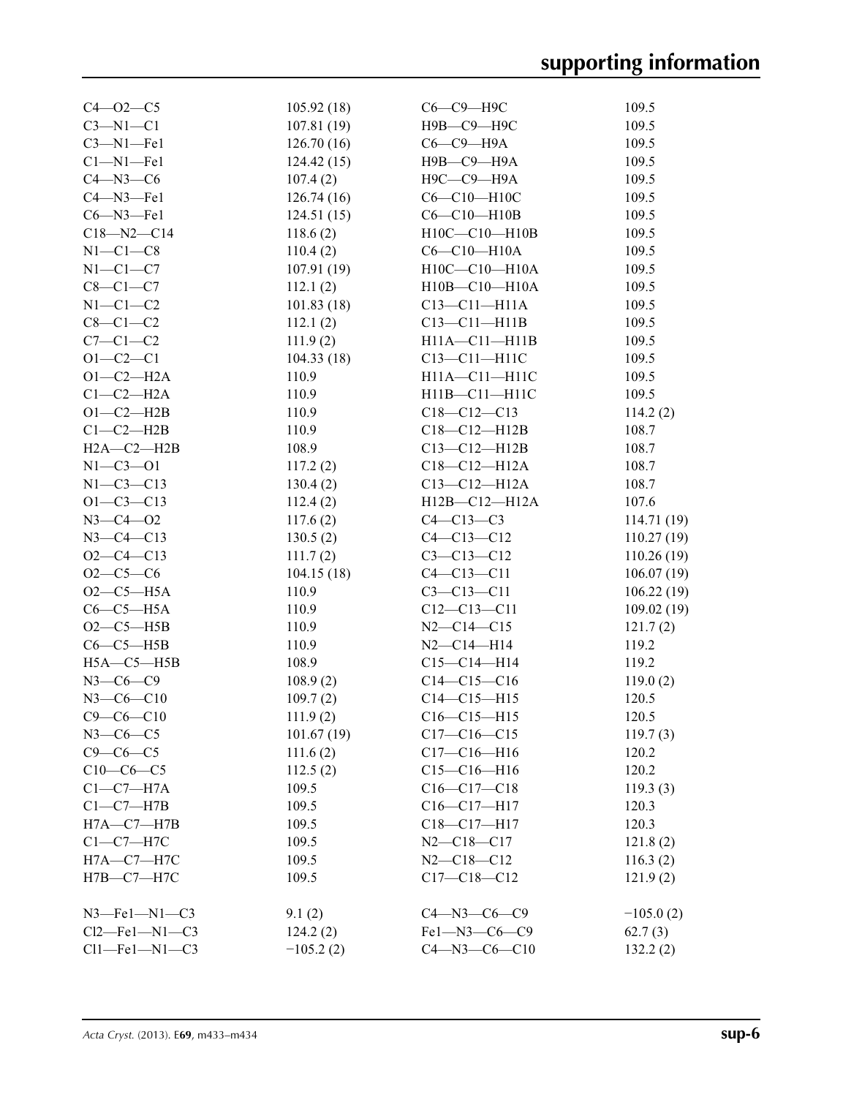| $C4 - 02 - C5$   | 105.92(18)  | С6-С9-Н9С            | 109.5       |
|------------------|-------------|----------------------|-------------|
| $C3-M1-C1$       | 107.81(19)  | Н9В-С9-Н9С           | 109.5       |
| $C3-M1-Fe1$      | 126.70(16)  | $C6-C9$ —H9A         | 109.5       |
| $Cl-M1$ -Fel     | 124.42(15)  | Н9В-С9-Н9А           | 109.5       |
|                  |             |                      | 109.5       |
| $C4 - N3 - C6$   | 107.4(2)    | Н9С-С9-Н9А           |             |
| $C4 - N3 - Fe1$  | 126.74(16)  | C6-C10-H10C          | 109.5       |
| $C6 - N3 - Fe1$  | 124.51(15)  | $C6-C10-H10B$        | 109.5       |
| $C18 - N2 - C14$ | 118.6(2)    | $H10C - C10 - H10B$  | 109.5       |
| $N1-C1-C8$       | 110.4(2)    | $C6-C10-H10A$        | 109.5       |
| $N1-C1-C7$       | 107.91(19)  | $H10C - C10 - H10A$  | 109.5       |
| $C8-C1-C7$       | 112.1(2)    | H10B-C10-H10A        | 109.5       |
| $N1-C1-C2$       | 101.83(18)  | $C13 - C11 - H11A$   | 109.5       |
| $C8-C1-C2$       | 112.1(2)    | $C13-C11-H11B$       | 109.5       |
| $C7-C1-C2$       | 111.9(2)    | $H11A - C11 - H11B$  | 109.5       |
| $O1 - C2 - C1$   | 104.33(18)  | $C13 - C11 - H11C$   | 109.5       |
| $O1-C2-H2A$      | 110.9       | $H11A - C11 - H11C$  | 109.5       |
| $C1-C2-H2A$      | 110.9       | H11B-C11-H11C        | 109.5       |
| $O1-C2-H2B$      | 110.9       | $C18-C12-C13$        | 114.2(2)    |
| $C1-C2-H2B$      | 110.9       | $C18 - C12 - H12B$   | 108.7       |
| $H2A - C2 - H2B$ | 108.9       | $C13 - C12 - H12B$   | 108.7       |
| $N1 - C3 - O1$   |             | $C18 - C12 - H12A$   | 108.7       |
|                  | 117.2(2)    |                      |             |
| $N1 - C3 - C13$  | 130.4(2)    | $C13 - C12 - H12A$   | 108.7       |
| $O1 - C3 - C13$  | 112.4(2)    | $H12B - C12 - H12A$  | 107.6       |
| $N3 - C4 - O2$   | 117.6(2)    | $C4 - C13 - C3$      | 114.71(19)  |
| $N3 - C4 - C13$  | 130.5(2)    | $C4 - C13 - C12$     | 110.27(19)  |
| $O2-C4-C13$      | 111.7(2)    | $C3 - C13 - C12$     | 110.26(19)  |
| $O2-C5-C6$       | 104.15(18)  | $C4 - C13 - C11$     | 106.07(19)  |
| $O2-C5-H5A$      | 110.9       | $C3 - C13 - C11$     | 106.22(19)  |
| $C6-C5-H5A$      | 110.9       | $C12-C13-C11$        | 109.02(19)  |
| $O2-C5-H5B$      | 110.9       | $N2 - C14 - C15$     | 121.7(2)    |
| $C6-C5-H5B$      | 110.9       | $N2 - C14 - H14$     | 119.2       |
| $H5A - C5 - H5B$ | 108.9       | $C15 - C14 - H14$    | 119.2       |
| $N3 - C6 - C9$   | 108.9(2)    | $C14 - C15 - C16$    | 119.0(2)    |
| $N3 - C6 - C10$  | 109.7(2)    | $C14 - C15 - H15$    | 120.5       |
| $C9 - C6 - C10$  | 111.9(2)    | $C16 - C15 - H15$    | 120.5       |
| $N3-C6-C5$       | 101.67(19)  | $C17-C16-C15$        | 119.7(3)    |
| $C9 - C6 - C5$   | 111.6(2)    | $C17 - C16 - H16$    | 120.2       |
| $C10-C6-C5$      |             | $C15-C16-H16$        | 120.2       |
|                  | 112.5(2)    |                      |             |
| $C1-C7-H7A$      | 109.5       | $C16 - C17 - C18$    | 119.3(3)    |
| $C1-C7-H7B$      | 109.5       | C16-C17-H17          | 120.3       |
| $H7A - C7 - H7B$ | 109.5       | C18-C17-H17          | 120.3       |
| $C1-C7-H7C$      | 109.5       | $N2 - C18 - C17$     | 121.8(2)    |
| $H7A - C7 - H7C$ | 109.5       | $N2 - C18 - C12$     | 116.3(2)    |
| $H7B - C7 - H7C$ | 109.5       | $C17 - C18 - C12$    | 121.9(2)    |
| $N3$ —Fe1—N1—C3  | 9.1(2)      | $C4 - N3 - C6 - C9$  | $-105.0(2)$ |
| $Cl2$ -Fel-N1-C3 | 124.2(2)    | $Fe1 - N3 - C6 - C9$ | 62.7(3)     |
| $Cl1$ -Fel-N1-C3 | $-105.2(2)$ | $C4 - N3 - C6 - C10$ | 132.2(2)    |
|                  |             |                      |             |